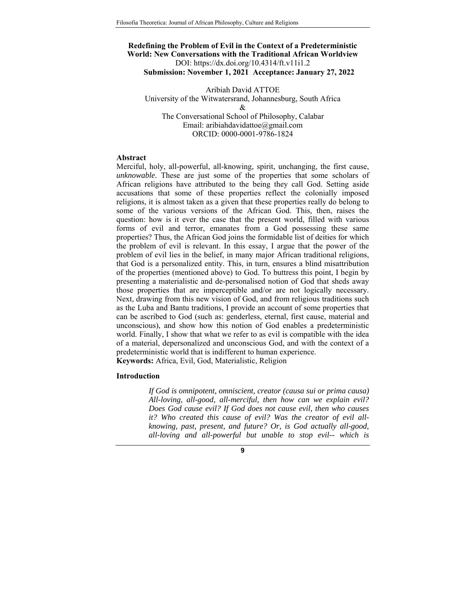# **Redefining the Problem of Evil in the Context of a Predeterministic World: New Conversations with the Traditional African Worldview** DOI: https://dx.doi.org/10.4314/ft.v11i1.2

**Submission: November 1, 2021 Acceptance: January 27, 2022** 

Aribiah David ATTOE University of the Witwatersrand, Johannesburg, South Africa & The Conversational School of Philosophy, Calabar Email: aribiahdavidattoe@gmail.com ORCID: 0000-0001-9786-1824

## **Abstract**

Merciful, holy, all-powerful, all-knowing, spirit, unchanging, the first cause, *unknowable*. These are just some of the properties that some scholars of African religions have attributed to the being they call God. Setting aside accusations that some of these properties reflect the colonially imposed religions, it is almost taken as a given that these properties really do belong to some of the various versions of the African God. This, then, raises the question: how is it ever the case that the present world, filled with various forms of evil and terror, emanates from a God possessing these same properties? Thus, the African God joins the formidable list of deities for which the problem of evil is relevant. In this essay, I argue that the power of the problem of evil lies in the belief, in many major African traditional religions, that God is a personalized entity. This, in turn, ensures a blind misattribution of the properties (mentioned above) to God. To buttress this point, I begin by presenting a materialistic and de-personalised notion of God that sheds away those properties that are imperceptible and/or are not logically necessary. Next, drawing from this new vision of God, and from religious traditions such as the Luba and Bantu traditions, I provide an account of some properties that can be ascribed to God (such as: genderless, eternal, first cause, material and unconscious), and show how this notion of God enables a predeterministic world. Finally, I show that what we refer to as evil is compatible with the idea of a material, depersonalized and unconscious God, and with the context of a predeterministic world that is indifferent to human experience. **Keywords:** Africa, Evil, God, Materialistic, Religion

## **Introduction**

*If God is omnipotent, omniscient, creator (causa sui or prima causa) All-loving, all-good, all-merciful, then how can we explain evil? Does God cause evil? If God does not cause evil, then who causes it? Who created this cause of evil? Was the creator of evil allknowing, past, present, and future? Or, is God actually all-good, all-loving and all-powerful but unable to stop evil-- which is*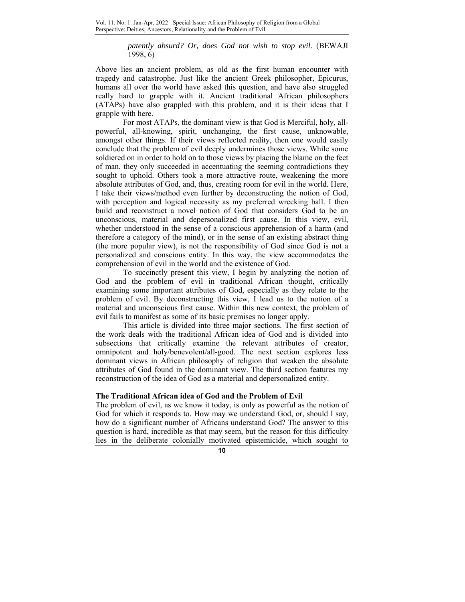*patently absurd? Or, does God not wish to stop evil*. (BEWAJI 1998, 6)

Above lies an ancient problem, as old as the first human encounter with tragedy and catastrophe. Just like the ancient Greek philosopher, Epicurus, humans all over the world have asked this question, and have also struggled really hard to grapple with it. Ancient traditional African philosophers (ATAPs) have also grappled with this problem, and it is their ideas that I grapple with here.

For most ATAPs, the dominant view is that God is Merciful, holy, allpowerful, all-knowing, spirit, unchanging, the first cause, unknowable, amongst other things. If their views reflected reality, then one would easily conclude that the problem of evil deeply undermines those views. While some soldiered on in order to hold on to those views by placing the blame on the feet of man, they only succeeded in accentuating the seeming contradictions they sought to uphold. Others took a more attractive route, weakening the more absolute attributes of God, and, thus, creating room for evil in the world. Here, I take their views/method even further by deconstructing the notion of God, with perception and logical necessity as my preferred wrecking ball. I then build and reconstruct a novel notion of God that considers God to be an unconscious, material and depersonalized first cause. In this view, evil, whether understood in the sense of a conscious apprehension of a harm (and therefore a category of the mind), or in the sense of an existing abstract thing (the more popular view), is not the responsibility of God since God is not a personalized and conscious entity. In this way, the view accommodates the comprehension of evil in the world and the existence of God.

To succinctly present this view, I begin by analyzing the notion of God and the problem of evil in traditional African thought, critically examining some important attributes of God, especially as they relate to the problem of evil. By deconstructing this view, I lead us to the notion of a material and unconscious first cause. Within this new context, the problem of evil fails to manifest as some of its basic premises no longer apply.

This article is divided into three major sections. The first section of the work deals with the traditional African idea of God and is divided into subsections that critically examine the relevant attributes of creator, omnipotent and holy/benevolent/all-good. The next section explores less dominant views in African philosophy of religion that weaken the absolute attributes of God found in the dominant view. The third section features my reconstruction of the idea of God as a material and depersonalized entity.

## **The Traditional African idea of God and the Problem of Evil**

The problem of evil, as we know it today, is only as powerful as the notion of God for which it responds to. How may we understand God, or, should I say, how do a significant number of Africans understand God? The answer to this question is hard, incredible as that may seem, but the reason for this difficulty lies in the deliberate colonially motivated epistemicide, which sought to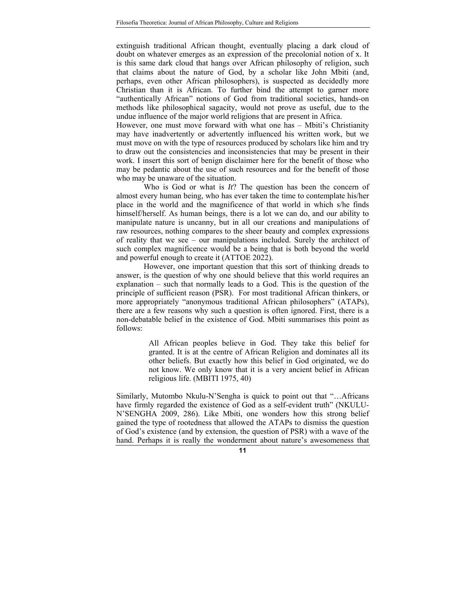extinguish traditional African thought, eventually placing a dark cloud of doubt on whatever emerges as an expression of the precolonial notion of x. It is this same dark cloud that hangs over African philosophy of religion, such that claims about the nature of God, by a scholar like John Mbiti (and, perhaps, even other African philosophers), is suspected as decidedly more Christian than it is African. To further bind the attempt to garner more "authentically African" notions of God from traditional societies, hands-on methods like philosophical sagacity, would not prove as useful, due to the undue influence of the major world religions that are present in Africa.

However, one must move forward with what one has – Mbiti's Christianity may have inadvertently or advertently influenced his written work, but we must move on with the type of resources produced by scholars like him and try to draw out the consistencies and inconsistencies that may be present in their work. I insert this sort of benign disclaimer here for the benefit of those who may be pedantic about the use of such resources and for the benefit of those who may be unaware of the situation.

Who is God or what is *It*? The question has been the concern of almost every human being, who has ever taken the time to contemplate his/her place in the world and the magnificence of that world in which s/he finds himself/herself. As human beings, there is a lot we can do, and our ability to manipulate nature is uncanny, but in all our creations and manipulations of raw resources, nothing compares to the sheer beauty and complex expressions of reality that we see – our manipulations included. Surely the architect of such complex magnificence would be a being that is both beyond the world and powerful enough to create it (ATTOE 2022).

However, one important question that this sort of thinking dreads to answer, is the question of why one should believe that this world requires an explanation – such that normally leads to a God. This is the question of the principle of sufficient reason (PSR). For most traditional African thinkers, or more appropriately "anonymous traditional African philosophers" (ATAPs), there are a few reasons why such a question is often ignored. First, there is a non-debatable belief in the existence of God. Mbiti summarises this point as follows:

> All African peoples believe in God. They take this belief for granted. It is at the centre of African Religion and dominates all its other beliefs. But exactly how this belief in God originated, we do not know. We only know that it is a very ancient belief in African religious life. (MBITI 1975, 40)

Similarly, Mutombo Nkulu-N'Sengha is quick to point out that "…Africans have firmly regarded the existence of God as a self-evident truth" (NKULU-N'SENGHA 2009, 286). Like Mbiti, one wonders how this strong belief gained the type of rootedness that allowed the ATAPs to dismiss the question of God's existence (and by extension, the question of PSR) with a wave of the hand. Perhaps it is really the wonderment about nature's awesomeness that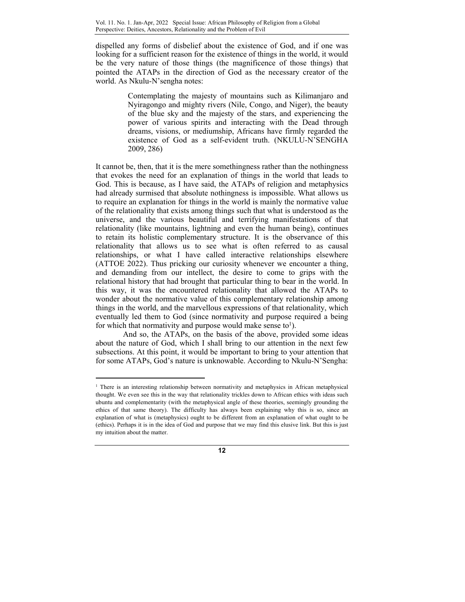dispelled any forms of disbelief about the existence of God, and if one was looking for a sufficient reason for the existence of things in the world, it would be the very nature of those things (the magnificence of those things) that pointed the ATAPs in the direction of God as the necessary creator of the world. As Nkulu-N'sengha notes:

> Contemplating the majesty of mountains such as Kilimanjaro and Nyiragongo and mighty rivers (Nile, Congo, and Niger), the beauty of the blue sky and the majesty of the stars, and experiencing the power of various spirits and interacting with the Dead through dreams, visions, or mediumship, Africans have firmly regarded the existence of God as a self-evident truth. (NKULU-N'SENGHA 2009, 286)

It cannot be, then, that it is the mere somethingness rather than the nothingness that evokes the need for an explanation of things in the world that leads to God. This is because, as I have said, the ATAPs of religion and metaphysics had already surmised that absolute nothingness is impossible. What allows us to require an explanation for things in the world is mainly the normative value of the relationality that exists among things such that what is understood as the universe, and the various beautiful and terrifying manifestations of that relationality (like mountains, lightning and even the human being), continues to retain its holistic complementary structure. It is the observance of this relationality that allows us to see what is often referred to as causal relationships, or what I have called interactive relationships elsewhere (ATTOE 2022). Thus pricking our curiosity whenever we encounter a thing, and demanding from our intellect, the desire to come to grips with the relational history that had brought that particular thing to bear in the world. In this way, it was the encountered relationality that allowed the ATAPs to wonder about the normative value of this complementary relationship among things in the world, and the marvellous expressions of that relationality, which eventually led them to God (since normativity and purpose required a being for which that normativity and purpose would make sense to<sup>1</sup>).

And so, the ATAPs, on the basis of the above, provided some ideas about the nature of God, which I shall bring to our attention in the next few subsections. At this point, it would be important to bring to your attention that for some ATAPs, God's nature is unknowable. According to Nkulu-N'Sengha:

 $\overline{a}$ 

 $1$  There is an interesting relationship between normativity and metaphysics in African metaphysical thought. We even see this in the way that relationality trickles down to African ethics with ideas such ubuntu and complementarity (with the metaphysical angle of these theories, seemingly grounding the ethics of that same theory). The difficulty has always been explaining why this is so, since an explanation of what is (metaphysics) ought to be different from an explanation of what ought to be (ethics). Perhaps it is in the idea of God and purpose that we may find this elusive link. But this is just my intuition about the matter.

**<sup>12</sup>**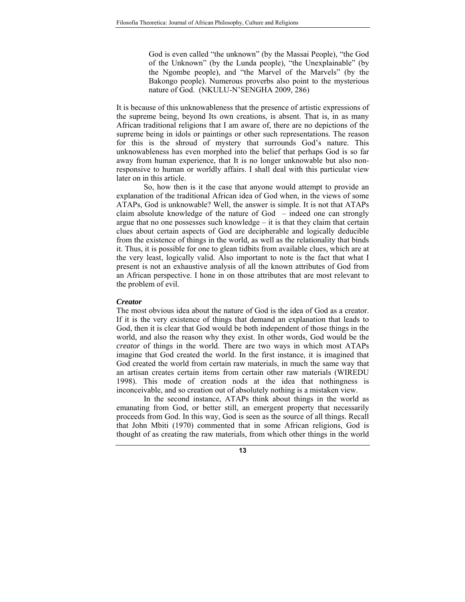God is even called "the unknown" (by the Massai People), "the God of the Unknown" (by the Lunda people), "the Unexplainable" (by the Ngombe people), and "the Marvel of the Marvels" (by the Bakongo people). Numerous proverbs also point to the mysterious nature of God. (NKULU-N'SENGHA 2009, 286)

It is because of this unknowableness that the presence of artistic expressions of the supreme being, beyond Its own creations, is absent. That is, in as many African traditional religions that I am aware of, there are no depictions of the supreme being in idols or paintings or other such representations. The reason for this is the shroud of mystery that surrounds God's nature. This unknowableness has even morphed into the belief that perhaps God is so far away from human experience, that It is no longer unknowable but also nonresponsive to human or worldly affairs. I shall deal with this particular view later on in this article.

So, how then is it the case that anyone would attempt to provide an explanation of the traditional African idea of God when, in the views of some ATAPs, God is unknowable? Well, the answer is simple. It is not that ATAPs claim absolute knowledge of the nature of  $God$  – indeed one can strongly argue that no one possesses such knowledge – it is that they claim that certain clues about certain aspects of God are decipherable and logically deducible from the existence of things in the world, as well as the relationality that binds it. Thus, it is possible for one to glean tidbits from available clues, which are at the very least, logically valid. Also important to note is the fact that what I present is not an exhaustive analysis of all the known attributes of God from an African perspective. I hone in on those attributes that are most relevant to the problem of evil.

#### *Creator*

The most obvious idea about the nature of God is the idea of God as a creator. If it is the very existence of things that demand an explanation that leads to God, then it is clear that God would be both independent of those things in the world, and also the reason why they exist. In other words, God would be the *creator* of things in the world. There are two ways in which most ATAPs imagine that God created the world. In the first instance, it is imagined that God created the world from certain raw materials, in much the same way that an artisan creates certain items from certain other raw materials (WIREDU 1998). This mode of creation nods at the idea that nothingness is inconceivable, and so creation out of absolutely nothing is a mistaken view.

In the second instance, ATAPs think about things in the world as emanating from God, or better still, an emergent property that necessarily proceeds from God. In this way, God is seen as the source of all things. Recall that John Mbiti (1970) commented that in some African religions, God is thought of as creating the raw materials, from which other things in the world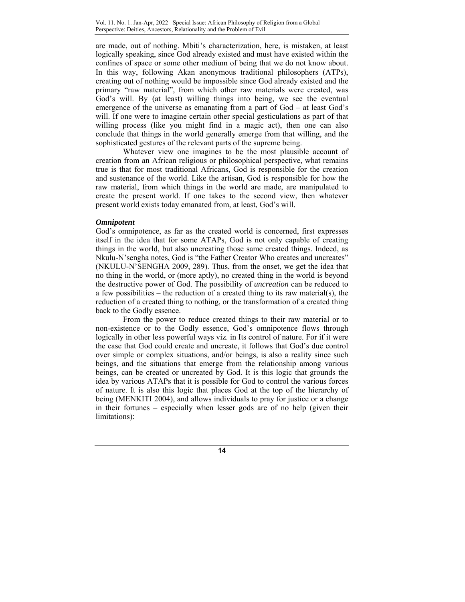are made, out of nothing. Mbiti's characterization, here, is mistaken, at least logically speaking, since God already existed and must have existed within the confines of space or some other medium of being that we do not know about. In this way, following Akan anonymous traditional philosophers (ATPs), creating out of nothing would be impossible since God already existed and the primary "raw material", from which other raw materials were created, was God's will. By (at least) willing things into being, we see the eventual emergence of the universe as emanating from a part of God – at least God's will. If one were to imagine certain other special gesticulations as part of that willing process (like you might find in a magic act), then one can also conclude that things in the world generally emerge from that willing, and the sophisticated gestures of the relevant parts of the supreme being.

Whatever view one imagines to be the most plausible account of creation from an African religious or philosophical perspective, what remains true is that for most traditional Africans, God is responsible for the creation and sustenance of the world. Like the artisan, God is responsible for how the raw material, from which things in the world are made, are manipulated to create the present world. If one takes to the second view, then whatever present world exists today emanated from, at least, God's will.

### *Omnipotent*

God's omnipotence, as far as the created world is concerned, first expresses itself in the idea that for some ATAPs, God is not only capable of creating things in the world, but also uncreating those same created things. Indeed, as Nkulu-N'sengha notes, God is "the Father Creator Who creates and uncreates" (NKULU-N'SENGHA 2009, 289). Thus, from the onset, we get the idea that no thing in the world, or (more aptly), no created thing in the world is beyond the destructive power of God. The possibility of *uncreation* can be reduced to a few possibilities – the reduction of a created thing to its raw material(s), the reduction of a created thing to nothing, or the transformation of a created thing back to the Godly essence.

From the power to reduce created things to their raw material or to non-existence or to the Godly essence, God's omnipotence flows through logically in other less powerful ways viz. in Its control of nature. For if it were the case that God could create and uncreate, it follows that God's due control over simple or complex situations, and/or beings, is also a reality since such beings, and the situations that emerge from the relationship among various beings, can be created or uncreated by God. It is this logic that grounds the idea by various ATAPs that it is possible for God to control the various forces of nature. It is also this logic that places God at the top of the hierarchy of being (MENKITI 2004), and allows individuals to pray for justice or a change in their fortunes – especially when lesser gods are of no help (given their limitations):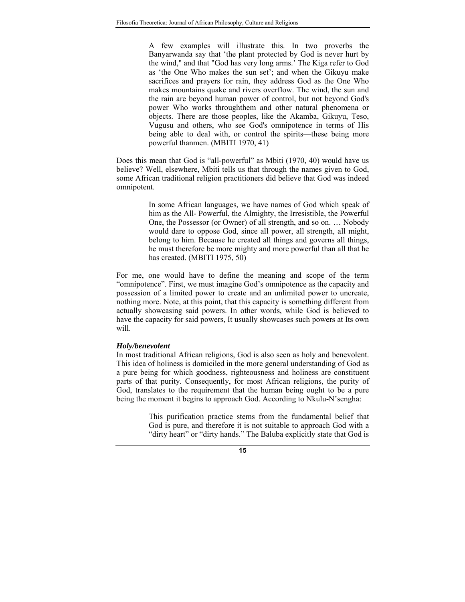A few examples will illustrate this. In two proverbs the Banyarwanda say that 'the plant protected by God is never hurt by the wind," and that "God has very long arms.' The Kiga refer to God as 'the One Who makes the sun set'; and when the Gikuyu make sacrifices and prayers for rain, they address God as the One Who makes mountains quake and rivers overflow. The wind, the sun and the rain are beyond human power of control, but not beyond God's power Who works throughthem and other natural phenomena or objects. There are those peoples, like the Akamba, Gikuyu, Teso, Vugusu and others, who see God's omnipotence in terms of His being able to deal with, or control the spirits—these being more powerful thanmen. (MBITI 1970, 41)

Does this mean that God is "all-powerful" as Mbiti (1970, 40) would have us believe? Well, elsewhere, Mbiti tells us that through the names given to God, some African traditional religion practitioners did believe that God was indeed omnipotent.

> In some African languages, we have names of God which speak of him as the All- Powerful, the Almighty, the Irresistible, the Powerful One, the Possessor (or Owner) of all strength, and so on. … Nobody would dare to oppose God, since all power, all strength, all might, belong to him. Because he created all things and governs all things, he must therefore be more mighty and more powerful than all that he has created. (MBITI 1975, 50)

For me, one would have to define the meaning and scope of the term "omnipotence". First, we must imagine God's omnipotence as the capacity and possession of a limited power to create and an unlimited power to uncreate, nothing more. Note, at this point, that this capacity is something different from actually showcasing said powers. In other words, while God is believed to have the capacity for said powers, It usually showcases such powers at Its own will.

#### *Holy/benevolent*

In most traditional African religions, God is also seen as holy and benevolent. This idea of holiness is domiciled in the more general understanding of God as a pure being for which goodness, righteousness and holiness are constituent parts of that purity. Consequently, for most African religions, the purity of God, translates to the requirement that the human being ought to be a pure being the moment it begins to approach God. According to Nkulu-N'sengha:

> This purification practice stems from the fundamental belief that God is pure, and therefore it is not suitable to approach God with a "dirty heart" or "dirty hands." The Baluba explicitly state that God is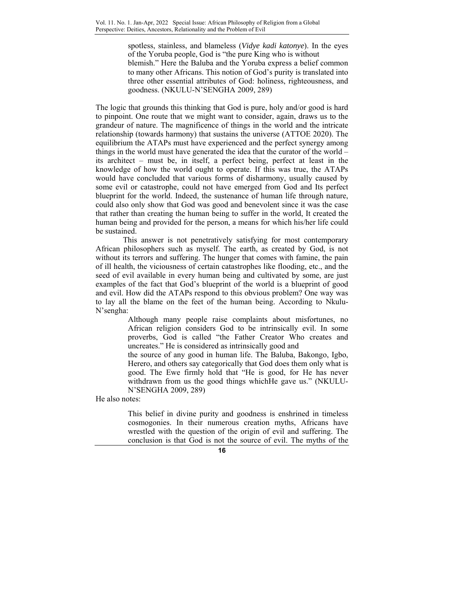spotless, stainless, and blameless (*Vidye kadi katonye*). In the eyes of the Yoruba people, God is "the pure King who is without blemish." Here the Baluba and the Yoruba express a belief common to many other Africans. This notion of God's purity is translated into three other essential attributes of God: holiness, righteousness, and goodness. (NKULU-N'SENGHA 2009, 289)

The logic that grounds this thinking that God is pure, holy and/or good is hard to pinpoint. One route that we might want to consider, again, draws us to the grandeur of nature. The magnificence of things in the world and the intricate relationship (towards harmony) that sustains the universe (ATTOE 2020). The equilibrium the ATAPs must have experienced and the perfect synergy among things in the world must have generated the idea that the curator of the world – its architect – must be, in itself, a perfect being, perfect at least in the knowledge of how the world ought to operate. If this was true, the ATAPs would have concluded that various forms of disharmony, usually caused by some evil or catastrophe, could not have emerged from God and Its perfect blueprint for the world. Indeed, the sustenance of human life through nature, could also only show that God was good and benevolent since it was the case that rather than creating the human being to suffer in the world, It created the human being and provided for the person, a means for which his/her life could be sustained.

This answer is not penetratively satisfying for most contemporary African philosophers such as myself. The earth, as created by God, is not without its terrors and suffering. The hunger that comes with famine, the pain of ill health, the viciousness of certain catastrophes like flooding, etc., and the seed of evil available in every human being and cultivated by some, are just examples of the fact that God's blueprint of the world is a blueprint of good and evil. How did the ATAPs respond to this obvious problem? One way was to lay all the blame on the feet of the human being. According to Nkulu-N'sengha:

> Although many people raise complaints about misfortunes, no African religion considers God to be intrinsically evil. In some proverbs, God is called "the Father Creator Who creates and uncreates." He is considered as intrinsically good and

> the source of any good in human life. The Baluba, Bakongo, Igbo, Herero, and others say categorically that God does them only what is good. The Ewe firmly hold that "He is good, for He has never withdrawn from us the good things whichHe gave us." (NKULU-N'SENGHA 2009, 289)

He also notes:

This belief in divine purity and goodness is enshrined in timeless cosmogonies. In their numerous creation myths, Africans have wrestled with the question of the origin of evil and suffering. The conclusion is that God is not the source of evil. The myths of the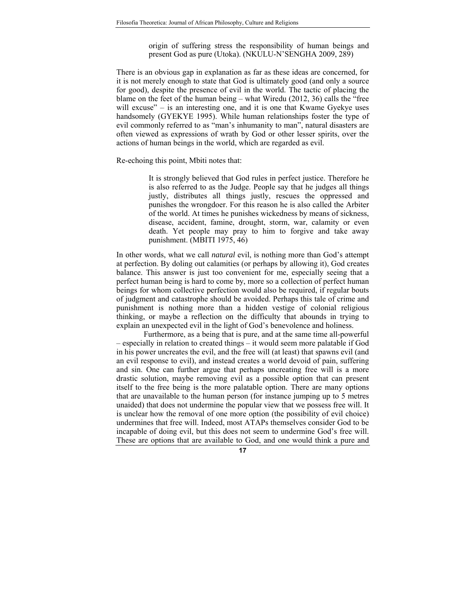origin of suffering stress the responsibility of human beings and present God as pure (Utoka). (NKULU-N'SENGHA 2009, 289)

There is an obvious gap in explanation as far as these ideas are concerned, for it is not merely enough to state that God is ultimately good (and only a source for good), despite the presence of evil in the world. The tactic of placing the blame on the feet of the human being – what Wiredu (2012, 36) calls the "free will excuse" – is an interesting one, and it is one that Kwame Gyekye uses handsomely (GYEKYE 1995). While human relationships foster the type of evil commonly referred to as "man's inhumanity to man", natural disasters are often viewed as expressions of wrath by God or other lesser spirits, over the actions of human beings in the world, which are regarded as evil.

Re-echoing this point, Mbiti notes that:

It is strongly believed that God rules in perfect justice. Therefore he is also referred to as the Judge. People say that he judges all things justly, distributes all things justly, rescues the oppressed and punishes the wrongdoer. For this reason he is also called the Arbiter of the world. At times he punishes wickedness by means of sickness, disease, accident, famine, drought, storm, war, calamity or even death. Yet people may pray to him to forgive and take away punishment. (MBITI 1975, 46)

In other words, what we call *natural* evil, is nothing more than God's attempt at perfection. By doling out calamities (or perhaps by allowing it), God creates balance. This answer is just too convenient for me, especially seeing that a perfect human being is hard to come by, more so a collection of perfect human beings for whom collective perfection would also be required, if regular bouts of judgment and catastrophe should be avoided. Perhaps this tale of crime and punishment is nothing more than a hidden vestige of colonial religious thinking, or maybe a reflection on the difficulty that abounds in trying to explain an unexpected evil in the light of God's benevolence and holiness.

Furthermore, as a being that is pure, and at the same time all-powerful – especially in relation to created things – it would seem more palatable if God in his power uncreates the evil, and the free will (at least) that spawns evil (and an evil response to evil), and instead creates a world devoid of pain, suffering and sin. One can further argue that perhaps uncreating free will is a more drastic solution, maybe removing evil as a possible option that can present itself to the free being is the more palatable option. There are many options that are unavailable to the human person (for instance jumping up to 5 metres unaided) that does not undermine the popular view that we possess free will. It is unclear how the removal of one more option (the possibility of evil choice) undermines that free will. Indeed, most ATAPs themselves consider God to be incapable of doing evil, but this does not seem to undermine God's free will. These are options that are available to God, and one would think a pure and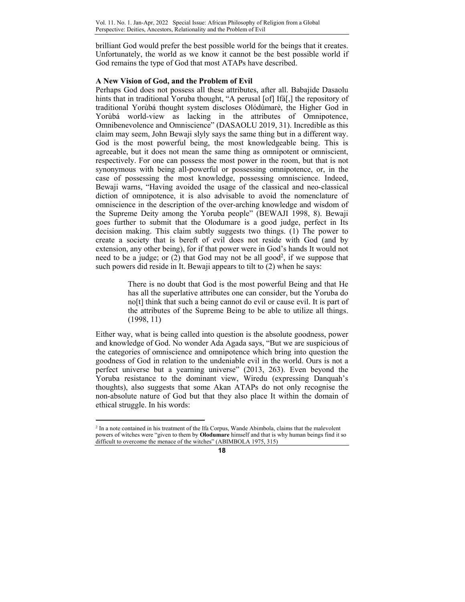brilliant God would prefer the best possible world for the beings that it creates. Unfortunately, the world as we know it cannot be the best possible world if God remains the type of God that most ATAPs have described.

# **A New Vision of God, and the Problem of Evil**

Perhaps God does not possess all these attributes, after all. Babajide Dasaolu hints that in traditional Yoruba thought, "A perusal [of] Ifá[,] the repository of traditional Yorùbá thought system discloses Olódùmarè, the Higher God in Yorùbá world-view as lacking in the attributes of Omnipotence, Omnibenevolence and Omniscience" (DASAOLU 2019, 31). Incredible as this claim may seem, John Bewaji slyly says the same thing but in a different way. God is the most powerful being, the most knowledgeable being. This is agreeable, but it does not mean the same thing as omnipotent or omniscient, respectively. For one can possess the most power in the room, but that is not synonymous with being all-powerful or possessing omnipotence, or, in the case of possessing the most knowledge, possessing omniscience. Indeed, Bewaji warns, "Having avoided the usage of the classical and neo-classical diction of omnipotence, it is also advisable to avoid the nomenclature of omniscience in the description of the over-arching knowledge and wisdom of the Supreme Deity among the Yoruba people" (BEWAJI 1998, 8). Bewaji goes further to submit that the Olodumare is a good judge, perfect in Its decision making. This claim subtly suggests two things. (1) The power to create a society that is bereft of evil does not reside with God (and by extension, any other being), for if that power were in God's hands It would not need to be a judge; or  $(2)$  that God may not be all good<sup>2</sup>, if we suppose that such powers did reside in It. Bewaji appears to tilt to (2) when he says:

> There is no doubt that God is the most powerful Being and that He has all the superlative attributes one can consider, but the Yoruba do no[t] think that such a being cannot do evil or cause evil. It is part of the attributes of the Supreme Being to be able to utilize all things. (1998, 11)

Either way, what is being called into question is the absolute goodness, power and knowledge of God. No wonder Ada Agada says, "But we are suspicious of the categories of omniscience and omnipotence which bring into question the goodness of God in relation to the undeniable evil in the world. Ours is not a perfect universe but a yearning universe" (2013, 263). Even beyond the Yoruba resistance to the dominant view, Wiredu (expressing Danquah's thoughts), also suggests that some Akan ATAPs do not only recognise the non-absolute nature of God but that they also place It within the domain of ethical struggle. In his words:

 $\overline{a}$ 

<sup>2</sup> In a note contained in his treatment of the Ifa Corpus, Wande Abimbola, claims that the malevolent powers of witches were "given to them by **Olodumare** himself and that is why human beings find it so difficult to overcome the menace of the witches" (ABIMBOLA 1975, 315)

**<sup>18</sup>**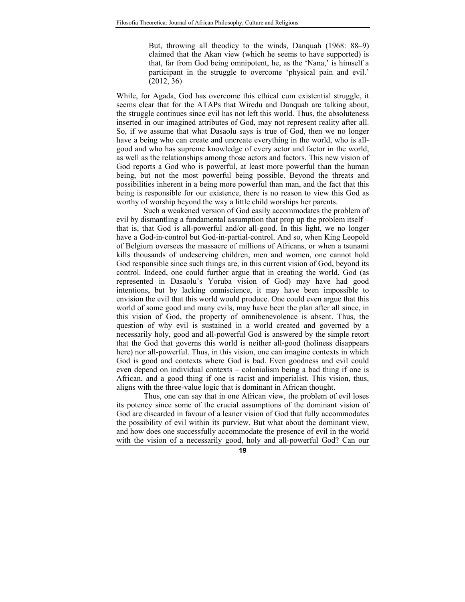But, throwing all theodicy to the winds, Danquah (1968: 88–9) claimed that the Akan view (which he seems to have supported) is that, far from God being omnipotent, he, as the 'Nana,' is himself a participant in the struggle to overcome 'physical pain and evil.' (2012, 36)

While, for Agada, God has overcome this ethical cum existential struggle, it seems clear that for the ATAPs that Wiredu and Danquah are talking about, the struggle continues since evil has not left this world. Thus, the absoluteness inserted in our imagined attributes of God, may not represent reality after all. So, if we assume that what Dasaolu says is true of God, then we no longer have a being who can create and uncreate everything in the world, who is allgood and who has supreme knowledge of every actor and factor in the world, as well as the relationships among those actors and factors. This new vision of God reports a God who is powerful, at least more powerful than the human being, but not the most powerful being possible. Beyond the threats and possibilities inherent in a being more powerful than man, and the fact that this being is responsible for our existence, there is no reason to view this God as worthy of worship beyond the way a little child worships her parents.

Such a weakened version of God easily accommodates the problem of evil by dismantling a fundamental assumption that prop up the problem itself – that is, that God is all-powerful and/or all-good. In this light, we no longer have a God-in-control but God-in-partial-control. And so, when King Leopold of Belgium oversees the massacre of millions of Africans, or when a tsunami kills thousands of undeserving children, men and women, one cannot hold God responsible since such things are, in this current vision of God, beyond its control. Indeed, one could further argue that in creating the world, God (as represented in Dasaolu's Yoruba vision of God) may have had good intentions, but by lacking omniscience, it may have been impossible to envision the evil that this world would produce. One could even argue that this world of some good and many evils, may have been the plan after all since, in this vision of God, the property of omnibenevolence is absent. Thus, the question of why evil is sustained in a world created and governed by a necessarily holy, good and all-powerful God is answered by the simple retort that the God that governs this world is neither all-good (holiness disappears here) nor all-powerful. Thus, in this vision, one can imagine contexts in which God is good and contexts where God is bad. Even goodness and evil could even depend on individual contexts – colonialism being a bad thing if one is African, and a good thing if one is racist and imperialist. This vision, thus, aligns with the three-value logic that is dominant in African thought.

Thus, one can say that in one African view, the problem of evil loses its potency since some of the crucial assumptions of the dominant vision of God are discarded in favour of a leaner vision of God that fully accommodates the possibility of evil within its purview. But what about the dominant view, and how does one successfully accommodate the presence of evil in the world with the vision of a necessarily good, holy and all-powerful God? Can our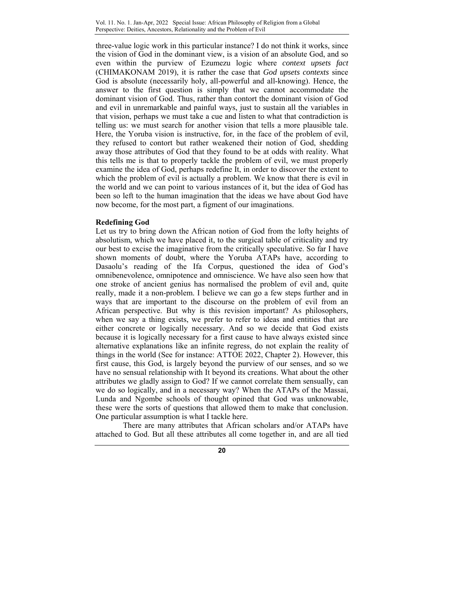three-value logic work in this particular instance? I do not think it works, since the vision of God in the dominant view, is a vision of an absolute God, and so even within the purview of Ezumezu logic where *context upsets fact*  (CHIMAKONAM 2019), it is rather the case that *God upsets contexts* since God is absolute (necessarily holy, all-powerful and all-knowing). Hence, the answer to the first question is simply that we cannot accommodate the dominant vision of God. Thus, rather than contort the dominant vision of God and evil in unremarkable and painful ways, just to sustain all the variables in that vision, perhaps we must take a cue and listen to what that contradiction is telling us: we must search for another vision that tells a more plausible tale. Here, the Yoruba vision is instructive, for, in the face of the problem of evil, they refused to contort but rather weakened their notion of God, shedding away those attributes of God that they found to be at odds with reality. What this tells me is that to properly tackle the problem of evil, we must properly examine the idea of God, perhaps redefine It, in order to discover the extent to which the problem of evil is actually a problem. We know that there is evil in the world and we can point to various instances of it, but the idea of God has been so left to the human imagination that the ideas we have about God have now become, for the most part, a figment of our imaginations.

# **Redefining God**

Let us try to bring down the African notion of God from the lofty heights of absolutism, which we have placed it, to the surgical table of criticality and try our best to excise the imaginative from the critically speculative. So far I have shown moments of doubt, where the Yoruba ATAPs have, according to Dasaolu's reading of the Ifa Corpus, questioned the idea of God's omnibenevolence, omnipotence and omniscience. We have also seen how that one stroke of ancient genius has normalised the problem of evil and, quite really, made it a non-problem. I believe we can go a few steps further and in ways that are important to the discourse on the problem of evil from an African perspective. But why is this revision important? As philosophers, when we say a thing exists, we prefer to refer to ideas and entities that are either concrete or logically necessary. And so we decide that God exists because it is logically necessary for a first cause to have always existed since alternative explanations like an infinite regress, do not explain the reality of things in the world (See for instance: ATTOE 2022, Chapter 2). However, this first cause, this God, is largely beyond the purview of our senses, and so we have no sensual relationship with It beyond its creations. What about the other attributes we gladly assign to God? If we cannot correlate them sensually, can we do so logically, and in a necessary way? When the ATAPs of the Massai, Lunda and Ngombe schools of thought opined that God was unknowable, these were the sorts of questions that allowed them to make that conclusion. One particular assumption is what I tackle here.

There are many attributes that African scholars and/or ATAPs have attached to God. But all these attributes all come together in, and are all tied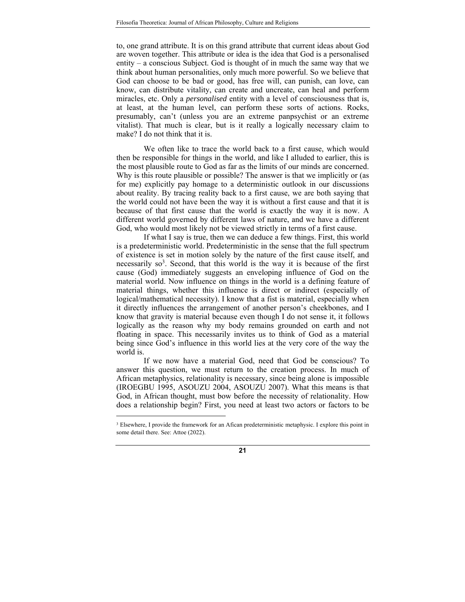to, one grand attribute. It is on this grand attribute that current ideas about God are woven together. This attribute or idea is the idea that God is a personalised entity – a conscious Subject. God is thought of in much the same way that we think about human personalities, only much more powerful. So we believe that God can choose to be bad or good, has free will, can punish, can love, can know, can distribute vitality, can create and uncreate, can heal and perform miracles, etc. Only a *personalised* entity with a level of consciousness that is, at least, at the human level, can perform these sorts of actions. Rocks, presumably, can't (unless you are an extreme panpsychist or an extreme vitalist). That much is clear, but is it really a logically necessary claim to make? I do not think that it is.

We often like to trace the world back to a first cause, which would then be responsible for things in the world, and like I alluded to earlier, this is the most plausible route to God as far as the limits of our minds are concerned. Why is this route plausible or possible? The answer is that we implicitly or (as for me) explicitly pay homage to a deterministic outlook in our discussions about reality. By tracing reality back to a first cause, we are both saying that the world could not have been the way it is without a first cause and that it is because of that first cause that the world is exactly the way it is now. A different world governed by different laws of nature, and we have a different God, who would most likely not be viewed strictly in terms of a first cause.

If what I say is true, then we can deduce a few things. First, this world is a predeterministic world. Predeterministic in the sense that the full spectrum of existence is set in motion solely by the nature of the first cause itself, and necessarily  $so^3$ . Second, that this world is the way it is because of the first cause (God) immediately suggests an enveloping influence of God on the material world. Now influence on things in the world is a defining feature of material things, whether this influence is direct or indirect (especially of logical/mathematical necessity). I know that a fist is material, especially when it directly influences the arrangement of another person's cheekbones, and I know that gravity is material because even though I do not sense it, it follows logically as the reason why my body remains grounded on earth and not floating in space. This necessarily invites us to think of God as a material being since God's influence in this world lies at the very core of the way the world is.

If we now have a material God, need that God be conscious? To answer this question, we must return to the creation process. In much of African metaphysics, relationality is necessary, since being alone is impossible (IROEGBU 1995, ASOUZU 2004, ASOUZU 2007). What this means is that God, in African thought, must bow before the necessity of relationality. How does a relationship begin? First, you need at least two actors or factors to be

<u>.</u>

<sup>&</sup>lt;sup>3</sup> Elsewhere, I provide the framework for an Afican predeterministic metaphysic. I explore this point in some detail there. See: Attoe (2022).

**<sup>21</sup>**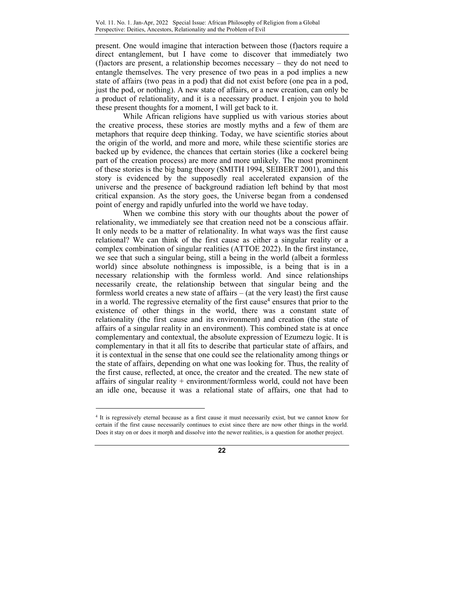present. One would imagine that interaction between those (f)actors require a direct entanglement, but I have come to discover that immediately two (f)actors are present, a relationship becomes necessary – they do not need to entangle themselves. The very presence of two peas in a pod implies a new state of affairs (two peas in a pod) that did not exist before (one pea in a pod, just the pod, or nothing). A new state of affairs, or a new creation, can only be a product of relationality, and it is a necessary product. I enjoin you to hold these present thoughts for a moment, I will get back to it.

While African religions have supplied us with various stories about the creative process, these stories are mostly myths and a few of them are metaphors that require deep thinking. Today, we have scientific stories about the origin of the world, and more and more, while these scientific stories are backed up by evidence, the chances that certain stories (like a cockerel being part of the creation process) are more and more unlikely. The most prominent of these stories is the big bang theory (SMITH 1994, SEIBERT 2001), and this story is evidenced by the supposedly real accelerated expansion of the universe and the presence of background radiation left behind by that most critical expansion. As the story goes, the Universe began from a condensed point of energy and rapidly unfurled into the world we have today.

When we combine this story with our thoughts about the power of relationality, we immediately see that creation need not be a conscious affair. It only needs to be a matter of relationality. In what ways was the first cause relational? We can think of the first cause as either a singular reality or a complex combination of singular realities (ATTOE 2022). In the first instance, we see that such a singular being, still a being in the world (albeit a formless world) since absolute nothingness is impossible, is a being that is in a necessary relationship with the formless world. And since relationships necessarily create, the relationship between that singular being and the formless world creates a new state of affairs – (at the very least) the first cause in a world. The regressive eternality of the first cause<sup>4</sup> ensures that prior to the existence of other things in the world, there was a constant state of relationality (the first cause and its environment) and creation (the state of affairs of a singular reality in an environment). This combined state is at once complementary and contextual, the absolute expression of Ezumezu logic. It is complementary in that it all fits to describe that particular state of affairs, and it is contextual in the sense that one could see the relationality among things or the state of affairs, depending on what one was looking for. Thus, the reality of the first cause, reflected, at once, the creator and the created. The new state of affairs of singular reality  $+$  environment/formless world, could not have been an idle one, because it was a relational state of affairs, one that had to

 $\overline{a}$ 

<sup>4</sup> It is regressively eternal because as a first cause it must necessarily exist, but we cannot know for certain if the first cause necessarily continues to exist since there are now other things in the world. Does it stay on or does it morph and dissolve into the newer realities, is a question for another project.

**<sup>22</sup>**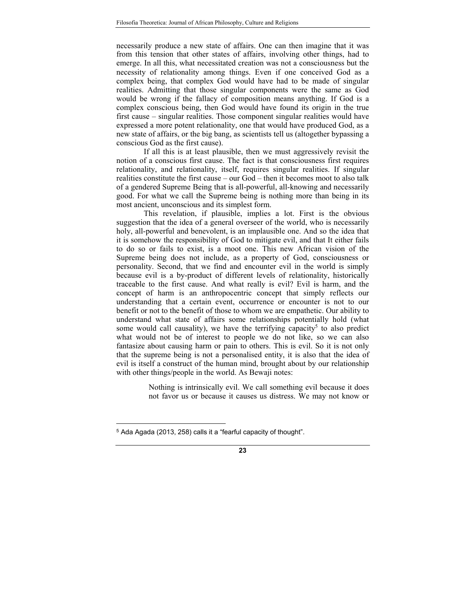necessarily produce a new state of affairs. One can then imagine that it was from this tension that other states of affairs, involving other things, had to emerge. In all this, what necessitated creation was not a consciousness but the necessity of relationality among things. Even if one conceived God as a complex being, that complex God would have had to be made of singular realities. Admitting that those singular components were the same as God would be wrong if the fallacy of composition means anything. If God is a complex conscious being, then God would have found its origin in the true first cause – singular realities. Those component singular realities would have expressed a more potent relationality, one that would have produced God, as a new state of affairs, or the big bang, as scientists tell us (altogether bypassing a conscious God as the first cause).

If all this is at least plausible, then we must aggressively revisit the notion of a conscious first cause. The fact is that consciousness first requires relationality, and relationality, itself, requires singular realities. If singular realities constitute the first cause – our God – then it becomes moot to also talk of a gendered Supreme Being that is all-powerful, all-knowing and necessarily good. For what we call the Supreme being is nothing more than being in its most ancient, unconscious and its simplest form.

This revelation, if plausible, implies a lot. First is the obvious suggestion that the idea of a general overseer of the world, who is necessarily holy, all-powerful and benevolent, is an implausible one. And so the idea that it is somehow the responsibility of God to mitigate evil, and that It either fails to do so or fails to exist, is a moot one. This new African vision of the Supreme being does not include, as a property of God, consciousness or personality. Second, that we find and encounter evil in the world is simply because evil is a by-product of different levels of relationality, historically traceable to the first cause. And what really is evil? Evil is harm, and the concept of harm is an anthropocentric concept that simply reflects our understanding that a certain event, occurrence or encounter is not to our benefit or not to the benefit of those to whom we are empathetic. Our ability to understand what state of affairs some relationships potentially hold (what some would call causality), we have the terrifying capacity<sup>5</sup> to also predict what would not be of interest to people we do not like, so we can also fantasize about causing harm or pain to others. This is evil. So it is not only that the supreme being is not a personalised entity, it is also that the idea of evil is itself a construct of the human mind, brought about by our relationship with other things/people in the world. As Bewaji notes:

> Nothing is intrinsically evil. We call something evil because it does not favor us or because it causes us distress. We may not know or

-

<sup>5</sup> Ada Agada (2013, 258) calls it a "fearful capacity of thought".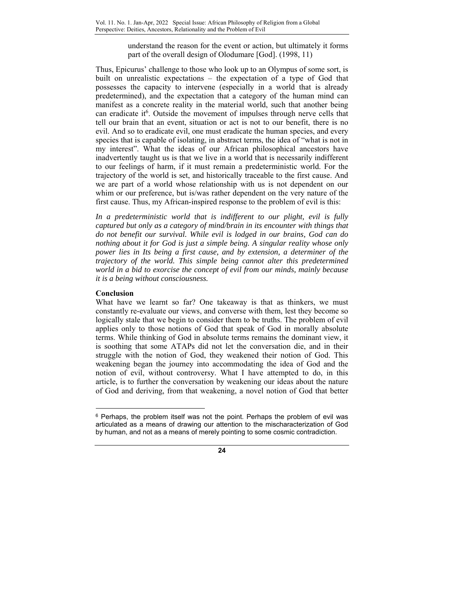understand the reason for the event or action, but ultimately it forms part of the overall design of Olodumare [God]. (1998, 11)

Thus, Epicurus' challenge to those who look up to an Olympus of some sort, is built on unrealistic expectations – the expectation of a type of God that possesses the capacity to intervene (especially in a world that is already predetermined), and the expectation that a category of the human mind can manifest as a concrete reality in the material world, such that another being can eradicate it<sup>6</sup>. Outside the movement of impulses through nerve cells that tell our brain that an event, situation or act is not to our benefit, there is no evil. And so to eradicate evil, one must eradicate the human species, and every species that is capable of isolating, in abstract terms, the idea of "what is not in my interest". What the ideas of our African philosophical ancestors have inadvertently taught us is that we live in a world that is necessarily indifferent to our feelings of harm, if it must remain a predeterministic world. For the trajectory of the world is set, and historically traceable to the first cause. And we are part of a world whose relationship with us is not dependent on our whim or our preference, but is/was rather dependent on the very nature of the first cause. Thus, my African-inspired response to the problem of evil is this:

*In a predeterministic world that is indifferent to our plight, evil is fully captured but only as a category of mind/brain in its encounter with things that do not benefit our survival. While evil is lodged in our brains, God can do nothing about it for God is just a simple being. A singular reality whose only power lies in Its being a first cause, and by extension, a determiner of the trajectory of the world. This simple being cannot alter this predetermined world in a bid to exorcise the concept of evil from our minds, mainly because it is a being without consciousness.* 

# **Conclusion**

 $\overline{a}$ 

What have we learnt so far? One takeaway is that as thinkers, we must constantly re-evaluate our views, and converse with them, lest they become so logically stale that we begin to consider them to be truths. The problem of evil applies only to those notions of God that speak of God in morally absolute terms. While thinking of God in absolute terms remains the dominant view, it is soothing that some ATAPs did not let the conversation die, and in their struggle with the notion of God, they weakened their notion of God. This weakening began the journey into accommodating the idea of God and the notion of evil, without controversy. What I have attempted to do, in this article, is to further the conversation by weakening our ideas about the nature of God and deriving, from that weakening, a novel notion of God that better

 $6$  Perhaps, the problem itself was not the point. Perhaps the problem of evil was articulated as a means of drawing our attention to the mischaracterization of God by human, and not as a means of merely pointing to some cosmic contradiction.

**<sup>24</sup>**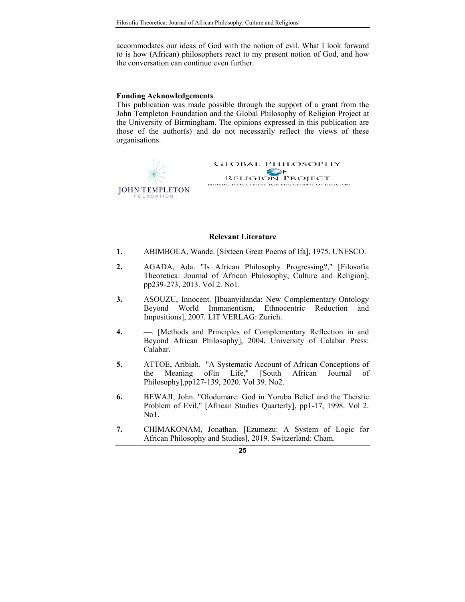accommodates our ideas of God with the notion of evil. What I look forward to is how (African) philosophers react to my present notion of God, and how the conversation can continue even further.

#### **Funding Acknowledgements**

This publication was made possible through the support of a grant from the John Templeton Foundation and the Global Philosophy of Religion Project at the University of Birmingham. The opinions expressed in this publication are those of the author(s) and do not necessarily reflect the views of these organisations.



#### **Relevant Literature**

- **1.** ABIMBOLA, Wande. [Sixteen Great Poems of Ifa], 1975*.* UNESCO.
- **2.** AGADA, Ada. "Is African Philosophy Progressing?," [Filosofia Theoretica: Journal of African Philosophy, Culture and Religion], pp239-273, 2013. Vol 2. No1.
- **3.** ASOUZU, Innocent. [Ibuanyidanda: New Complementary Ontology Beyond World Immanentism, Ethnocentric Reduction and Impositions], 2007*.* LIT VERLAG: Zurich.
- **4.** —. [Methods and Principles of Complementary Reflection in and Beyond African Philosophy], 2004*.* University of Calabar Press: Calabar.
- **5.** ATTOE, Aribiah. "A Systematic Account of African Conceptions of the Meaning of/in Life," [South African Journal of Philosophy],pp127-139, 2020. Vol 39. No2.
- **6.** BEWAJI, John. "Olodumare: God in Yoruba Belief and the Theistic Problem of Evil," [African Studies Quarterly], pp1-17, 1998. Vol 2. No1.
- **7.** CHIMAKONAM, Jonathan. [Ezumezu: A System of Logic for African Philosophy and Studies], 2019*.* Switzerland: Cham.